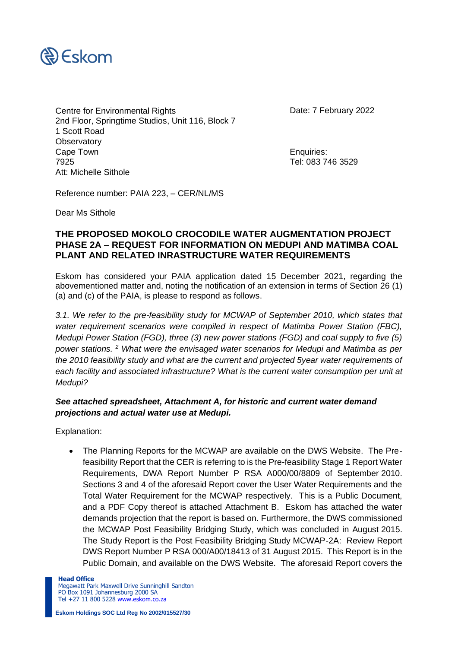

Centre for Environmental Rights Date: 7 February 2022 2nd Floor, Springtime Studios, Unit 116, Block 7 1 Scott Road **Observatory** Cape Town **Enquiries:** 7925 Tel: 083 746 3529 Att: Michelle Sithole

Reference number: PAIA 223, – CER/NL/MS

Dear Ms Sithole

#### **THE PROPOSED MOKOLO CROCODILE WATER AUGMENTATION PROJECT PHASE 2A – REQUEST FOR INFORMATION ON MEDUPI AND MATIMBA COAL PLANT AND RELATED INRASTRUCTURE WATER REQUIREMENTS**

Eskom has considered your PAIA application dated 15 December 2021, regarding the abovementioned matter and, noting the notification of an extension in terms of Section 26 (1) (a) and (c) of the PAIA, is please to respond as follows.

*3.1. We refer to the pre-feasibility study for MCWAP of September 2010, which states that water requirement scenarios were compiled in respect of Matimba Power Station (FBC), Medupi Power Station (FGD), three (3) new power stations (FGD) and coal supply to five (5) power stations. <sup>2</sup> What were the envisaged water scenarios for Medupi and Matimba as per the 2010 feasibility study and what are the current and projected 5year water requirements of each facility and associated infrastructure? What is the current water consumption per unit at Medupi?*

#### *See attached spreadsheet, Attachment A, for historic and current water demand projections and actual water use at Medupi.*

Explanation:

• The Planning Reports for the MCWAP are available on the DWS Website. The Prefeasibility Report that the CER is referring to is the Pre-feasibility Stage 1 Report Water Requirements, DWA Report Number P RSA A000/00/8809 of September 2010. Sections 3 and 4 of the aforesaid Report cover the User Water Requirements and the Total Water Requirement for the MCWAP respectively. This is a Public Document, and a PDF Copy thereof is attached Attachment B. Eskom has attached the water demands projection that the report is based on. Furthermore, the DWS commissioned the MCWAP Post Feasibility Bridging Study, which was concluded in August 2015. The Study Report is the Post Feasibility Bridging Study MCWAP-2A: Review Report DWS Report Number P RSA 000/A00/18413 of 31 August 2015. This Report is in the Public Domain, and available on the DWS Website. The aforesaid Report covers the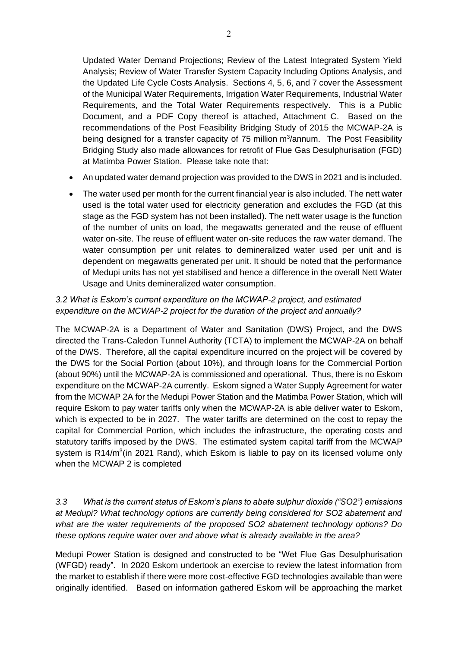Updated Water Demand Projections; Review of the Latest Integrated System Yield Analysis; Review of Water Transfer System Capacity Including Options Analysis, and the Updated Life Cycle Costs Analysis. Sections 4, 5, 6, and 7 cover the Assessment of the Municipal Water Requirements, Irrigation Water Requirements, Industrial Water Requirements, and the Total Water Requirements respectively. This is a Public Document, and a PDF Copy thereof is attached, Attachment C. Based on the recommendations of the Post Feasibility Bridging Study of 2015 the MCWAP-2A is being designed for a transfer capacity of 75 million m<sup>3</sup>/annum. The Post Feasibility Bridging Study also made allowances for retrofit of Flue Gas Desulphurisation (FGD) at Matimba Power Station. Please take note that:

- An updated water demand projection was provided to the DWS in 2021 and is included.
- The water used per month for the current financial year is also included. The nett water used is the total water used for electricity generation and excludes the FGD (at this stage as the FGD system has not been installed). The nett water usage is the function of the number of units on load, the megawatts generated and the reuse of effluent water on-site. The reuse of effluent water on-site reduces the raw water demand. The water consumption per unit relates to demineralized water used per unit and is dependent on megawatts generated per unit. It should be noted that the performance of Medupi units has not yet stabilised and hence a difference in the overall Nett Water Usage and Units demineralized water consumption.

## *3.2 What is Eskom's current expenditure on the MCWAP-2 project, and estimated expenditure on the MCWAP-2 project for the duration of the project and annually?*

The MCWAP-2A is a Department of Water and Sanitation (DWS) Project, and the DWS directed the Trans-Caledon Tunnel Authority (TCTA) to implement the MCWAP-2A on behalf of the DWS. Therefore, all the capital expenditure incurred on the project will be covered by the DWS for the Social Portion (about 10%), and through loans for the Commercial Portion (about 90%) until the MCWAP-2A is commissioned and operational. Thus, there is no Eskom expenditure on the MCWAP-2A currently. Eskom signed a Water Supply Agreement for water from the MCWAP 2A for the Medupi Power Station and the Matimba Power Station, which will require Eskom to pay water tariffs only when the MCWAP-2A is able deliver water to Eskom, which is expected to be in 2027. The water tariffs are determined on the cost to repay the capital for Commercial Portion, which includes the infrastructure, the operating costs and statutory tariffs imposed by the DWS. The estimated system capital tariff from the MCWAP system is R14/m<sup>3</sup>(in 2021 Rand), which Eskom is liable to pay on its licensed volume only when the MCWAP 2 is completed

## *3.3 What is the current status of Eskom's plans to abate sulphur dioxide ("SO2") emissions at Medupi? What technology options are currently being considered for SO2 abatement and what are the water requirements of the proposed SO2 abatement technology options? Do these options require water over and above what is already available in the area?*

Medupi Power Station is designed and constructed to be "Wet Flue Gas Desulphurisation (WFGD) ready". In 2020 Eskom undertook an exercise to review the latest information from the market to establish if there were more cost-effective FGD technologies available than were originally identified. Based on information gathered Eskom will be approaching the market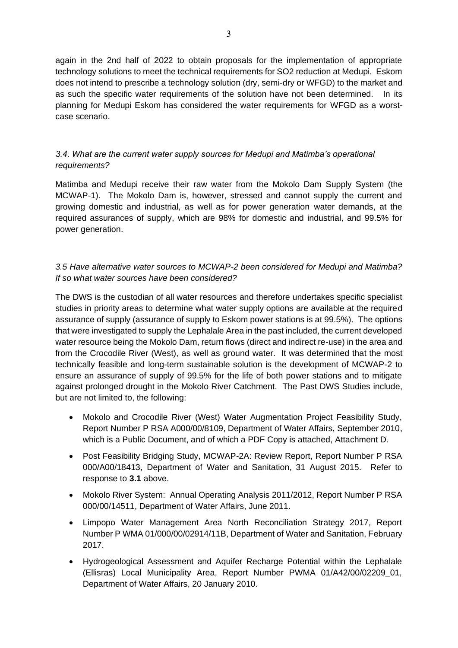again in the 2nd half of 2022 to obtain proposals for the implementation of appropriate technology solutions to meet the technical requirements for SO2 reduction at Medupi. Eskom does not intend to prescribe a technology solution (dry, semi-dry or WFGD) to the market and as such the specific water requirements of the solution have not been determined. In its planning for Medupi Eskom has considered the water requirements for WFGD as a worstcase scenario.

# *3.4. What are the current water supply sources for Medupi and Matimba's operational requirements?*

Matimba and Medupi receive their raw water from the Mokolo Dam Supply System (the MCWAP-1). The Mokolo Dam is, however, stressed and cannot supply the current and growing domestic and industrial, as well as for power generation water demands, at the required assurances of supply, which are 98% for domestic and industrial, and 99.5% for power generation.

## *3.5 Have alternative water sources to MCWAP-2 been considered for Medupi and Matimba? If so what water sources have been considered?*

The DWS is the custodian of all water resources and therefore undertakes specific specialist studies in priority areas to determine what water supply options are available at the required assurance of supply (assurance of supply to Eskom power stations is at 99.5%). The options that were investigated to supply the Lephalale Area in the past included, the current developed water resource being the Mokolo Dam, return flows (direct and indirect re-use) in the area and from the Crocodile River (West), as well as ground water. It was determined that the most technically feasible and long-term sustainable solution is the development of MCWAP-2 to ensure an assurance of supply of 99.5% for the life of both power stations and to mitigate against prolonged drought in the Mokolo River Catchment. The Past DWS Studies include, but are not limited to, the following:

- Mokolo and Crocodile River (West) Water Augmentation Project Feasibility Study, Report Number P RSA A000/00/8109, Department of Water Affairs, September 2010, which is a Public Document, and of which a PDF Copy is attached, Attachment D.
- Post Feasibility Bridging Study, MCWAP-2A: Review Report, Report Number P RSA 000/A00/18413, Department of Water and Sanitation, 31 August 2015. Refer to response to **3.1** above.
- Mokolo River System: Annual Operating Analysis 2011/2012, Report Number P RSA 000/00/14511, Department of Water Affairs, June 2011.
- Limpopo Water Management Area North Reconciliation Strategy 2017, Report Number P WMA 01/000/00/02914/11B, Department of Water and Sanitation, February 2017.
- Hydrogeological Assessment and Aquifer Recharge Potential within the Lephalale (Ellisras) Local Municipality Area, Report Number PWMA 01/A42/00/02209\_01, Department of Water Affairs, 20 January 2010.